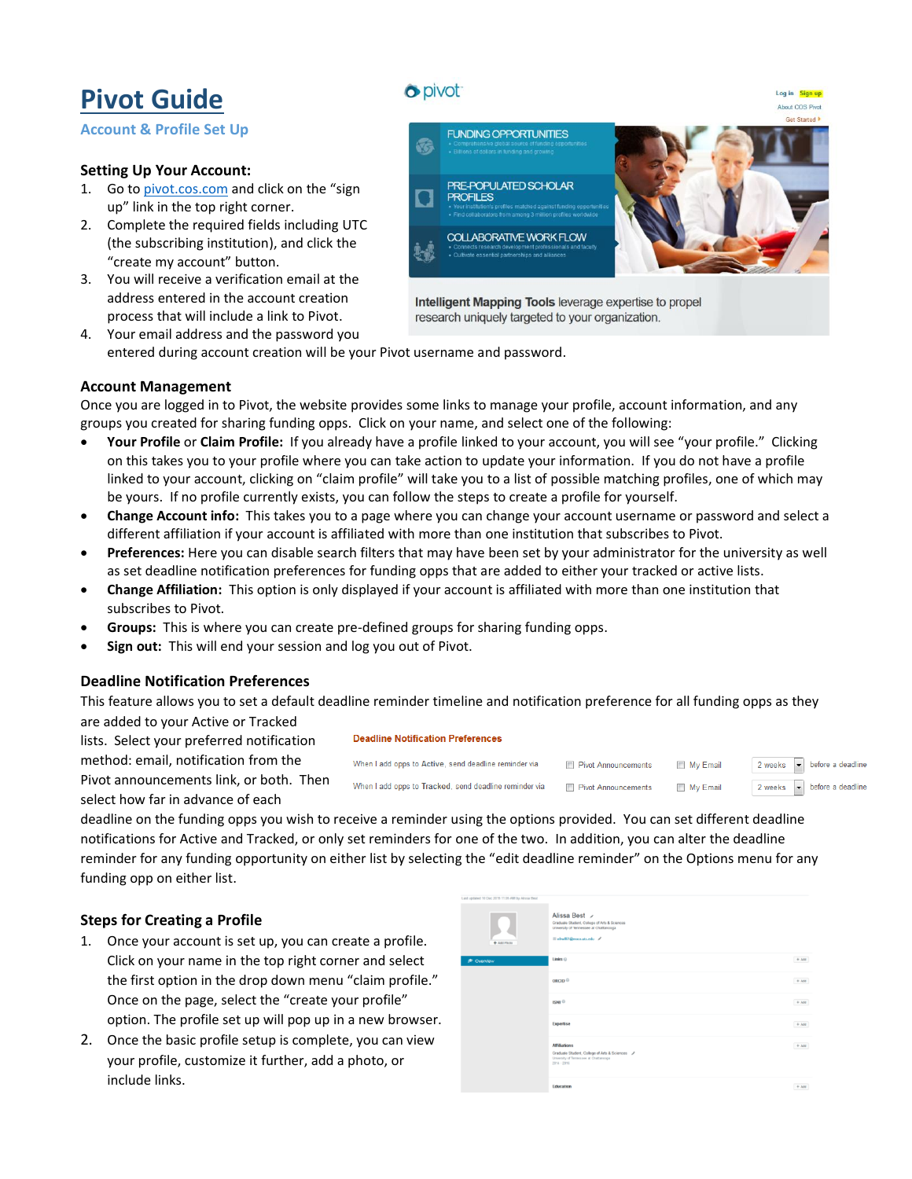# **Pivot Guide**

**Account & Profile Set Up**

# **Setting Up Your Account:**

- 1. Go t[o pivot.cos.com](http://pivot.cos.com/) and click on the "sign up" link in the top right corner.
- 2. Complete the required fields including UTC (the subscribing institution), and click the "create my account" button.
- 3. You will receive a verification email at the address entered in the account creation process that will include a link to Pivot.



4. Your email address and the password you entered during account creation will be your Pivot username and password.

## **Account Management**

Once you are logged in to Pivot, the website provides some links to manage your profile, account information, and any groups you created for sharing funding opps. Click on your name, and select one of the following:

- **Your Profile** or **Claim Profile:** If you already have a profile linked to your account, you will see "your profile." Clicking on this takes you to your profile where you can take action to update your information. If you do not have a profile linked to your account, clicking on "claim profile" will take you to a list of possible matching profiles, one of which may be yours. If no profile currently exists, you can follow the steps to create a profile for yourself.
- **Change Account info:** This takes you to a page where you can change your account username or password and select a different affiliation if your account is affiliated with more than one institution that subscribes to Pivot.
- **Preferences:** Here you can disable search filters that may have been set by your administrator for the university as well as set deadline notification preferences for funding opps that are added to either your tracked or active lists.
- **Change Affiliation:** This option is only displayed if your account is affiliated with more than one institution that subscribes to Pivot.
- **Groups:** This is where you can create pre-defined groups for sharing funding opps.
- **Sign out:** This will end your session and log you out of Pivot.

## **Deadline Notification Preferences**

This feature allows you to set a default deadline reminder timeline and notification preference for all funding opps as they

are added to your Active or Tracked lists. Select your preferred notification method: email, notification from the Pivot announcements link, or both. Then select how far in advance of each

#### **Deadline Notification Preferences**

| When I add opps to Active, send deadline reminder via  | <b>Ell</b> Pivot Announcements | My Email | $2 \text{ weeks}$ $\bullet$ before a deadline |
|--------------------------------------------------------|--------------------------------|----------|-----------------------------------------------|
| When I add opps to Tracked, send deadline reminder via | <b>Pivot Announcements</b>     | My Email | 2 weeks $\boxed{\bullet}$ before a deadline   |

deadline on the funding opps you wish to receive a reminder using the options provided. You can set different deadline notifications for Active and Tracked, or only set reminders for one of the two. In addition, you can alter the deadline reminder for any funding opportunity on either list by selecting the "edit deadline reminder" on the Options menu for any funding opp on either list.

# **Steps for Creating a Profile**

- 1. Once your account is set up, you can create a profile. Click on your name in the top right corner and select the first option in the drop down menu "claim profile." Once on the page, select the "create your profile" option. The profile set up will pop up in a new browser.
- 2. Once the basic profile setup is complete, you can view your profile, customize it further, add a photo, or include links.

| Last updated 10 Dec 2015 11:05 AM by Alissa Best |                                                                                                                                    |         |
|--------------------------------------------------|------------------------------------------------------------------------------------------------------------------------------------|---------|
| $+$ Add Photo                                    | Alissa Best /<br>Graduate Student, College of Arts & Sciences<br>University of Tennessee at Chattanooga<br>□ nhw061@mocs.stc.edu / |         |
| <b>P</b> Overview                                | $Links ②$                                                                                                                          | $+$ AM  |
|                                                  | ORCID <sup>O</sup>                                                                                                                 | $+$ Add |
|                                                  | $ISNI$ <sup><math>@</math></sup>                                                                                                   | $+$ Apd |
|                                                  | Expertise                                                                                                                          | $+$ AM  |
|                                                  | <b>Affiliations</b><br>Graduate Student, College of Arts & Sciences /<br>University of Tennessee at Chattanooga<br>$2014 - 2016$   | $+$ A64 |
|                                                  | Education                                                                                                                          | $+$ Add |